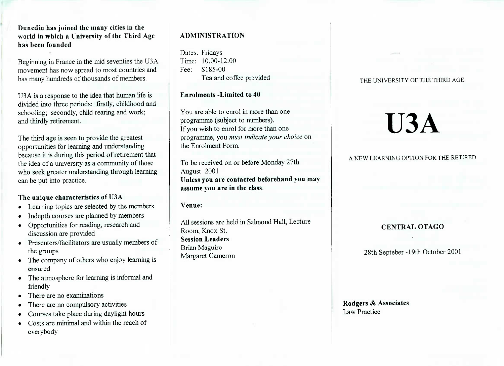Dunedin **has joined the many cities in the world in which a University of the Third Agehas been founded**

Beginning in France in the mid seventies the USA movement has now spread to most countries andhas many hundreds of thousands of members.

USA is a response to the idea that human life is divided into three periods: firstly, childhood andschooling; secondly, child rearing and work;and thirdly retirement.

The third age is seen to provide the greatest opportunities for learning and understanding because it is during this period of retirement thatthe idea of a university as a community of those who seek greater understanding through learningcan be put into practice.

## **The unique characteristics of U3A**

- Learning topics are selected by the members
- Indepth courses are planned by members
- Opportunities for reading, research anddiscussion are provided
- Presenters/facilitators are usually members of the groups
- The company of others who enjoy learning isensured
- The atmosphere for learning is informal andfriendly
- There are no examinations
- There are no compulsory activities
- Courses take place during daylight hours
- Costs are minimal and within the reach ofeverybody

# **ADMINISTRATION**

Dates: Fridays Time: 10.00-12.00Fee: \$185-00Lea and coffee provided

**Enrolments -Limited to 40**

You are able to enrol in more than oneprogramme (subject to numbers). If you wish to enrol for more than one programme, you *must indicate your choice* onthe Enrolment Form.

To be received on or before Monday 27thAugust 2001 **Unless you are contacted beforehand you mayassume you are in the class.**

**Venue:**

All sessions are held in Salmond Hall, LectureRoom, Knox St. **Session Leaders**Brian MaguireMargaret Cameron

#### THE UNIVERSITY OF THE THIRD AGE

# **U3A**

# A NEW LEARNING OPTION FOR THE RETIRED

# **CENTRAL OTAGO**

28th Septeber -19th October 2001

Rodgers & **Associates**Law Practice